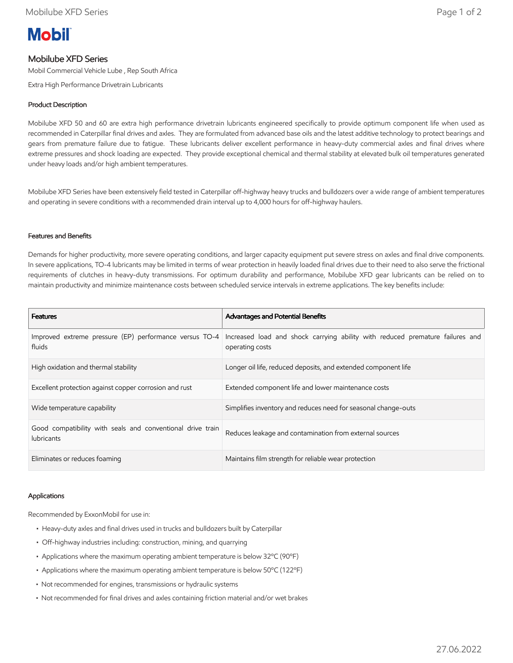# **Mobil**

## Mobilube XFD Series

Mobil Commercial Vehicle Lube , Rep South Africa

Extra High Performance Drivetrain Lubricants

### Product Description

Mobilube XFD 50 and 60 are extra high performance drivetrain lubricants engineered specifically to provide optimum component life when used as recommended in Caterpillar final drives and axles. They are formulated from advanced base oils and the latest additive technology to protect bearings and gears from premature failure due to fatigue. These lubricants deliver excellent performance in heavy-duty commercial axles and final drives where extreme pressures and shock loading are expected. They provide exceptional chemical and thermal stability at elevated bulk oil temperatures generated under heavy loads and/or high ambient temperatures.

Mobilube XFD Series have been extensively field tested in Caterpillar off-highway heavy trucks and bulldozers over a wide range of ambient temperatures and operating in severe conditions with a recommended drain interval up to 4,000 hours for off-highway haulers.

#### Features and Benefits

Demands for higher productivity, more severe operating conditions, and larger capacity equipment put severe stress on axles and final drive components. In severe applications, TO-4 lubricants may be limited in terms of wear protection in heavily loaded final drives due to their need to also serve the frictional requirements of clutches in heavy-duty transmissions. For optimum durability and performance, Mobilube XFD gear lubricants can be relied on to maintain productivity and minimize maintenance costs between scheduled service intervals in extreme applications. The key benefits include:

| <b>Features</b>                                                                 | <b>Advantages and Potential Benefits</b>                                                         |
|---------------------------------------------------------------------------------|--------------------------------------------------------------------------------------------------|
| Improved extreme pressure (EP) performance versus TO-4<br>fluids                | Increased load and shock carrying ability with reduced premature failures and<br>operating costs |
| High oxidation and thermal stability                                            | Longer oil life, reduced deposits, and extended component life                                   |
| Excellent protection against copper corrosion and rust                          | Extended component life and lower maintenance costs                                              |
| Wide temperature capability                                                     | Simplifies inventory and reduces need for seasonal change-outs                                   |
| Good compatibility with seals and conventional drive train<br><b>lubricants</b> | Reduces leakage and contamination from external sources                                          |
| Eliminates or reduces foaming                                                   | Maintains film strength for reliable wear protection                                             |

#### Applications

Recommended by ExxonMobil for use in:

- Heavy-duty axles and final drives used in trucks and bulldozers built by Caterpillar
- Off-highway industries including: construction, mining, and quarrying
- Applications where the maximum operating ambient temperature is below 32ºC (90ºF)
- Applications where the maximum operating ambient temperature is below 50ºC (122ºF)
- Not recommended for engines, transmissions or hydraulic systems
- Not recommended for final drives and axles containing friction material and/or wet brakes